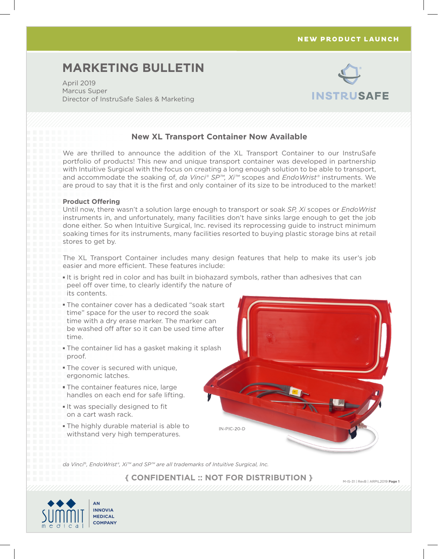### NEW PRODUCT LAUNCH

# **MARKETING BULLETIN**

April 2019 Marcus Super Director of InstruSafe Sales & Marketing



## **New XL Transport Container Now Available**

We are thrilled to announce the addition of the XL Transport Container to our InstruSafe portfolio of products! This new and unique transport container was developed in partnership with Intuitive Surgical with the focus on creating a long enough solution to be able to transport, and accommodate the soaking of, *da Vinci® SP™, Xi™* scopes and *EndoWrist®* instruments. We are proud to say that it is the first and only container of its size to be introduced to the market!

### **Product Offering**

Until now, there wasn't a solution large enough to transport or soak *SP, Xi* scopes or *EndoWrist* instruments in, and unfortunately, many facilities don't have sinks large enough to get the job done either. So when Intuitive Surgical, Inc. revised its reprocessing guide to instruct minimum soaking times for its instruments, many facilities resorted to buying plastic storage bins at retail stores to get by.

The XL Transport Container includes many design features that help to make its user's job easier and more efficient. These features include:

- It is bright red in color and has built in biohazard symbols, rather than adhesives that can peel off over time, to clearly identify the nature of its contents.
- The container cover has a dedicated "soak start time" space for the user to record the soak time with a dry erase marker. The marker can be washed off after so it can be used time after time.
- **The container lid has a gasket making it splash** proof.
- The cover is secured with unique, ergonomic latches.
- The container features nice, large handles on each end for safe lifting.
- It was specially designed to fit on a cart wash rack.
- The highly durable material is able to withstand very high temperatures.



*da Vinci*®*, EndoWrist®, Xi™ and SP™ are all trademarks of Intuitive Surgical, Inc.* 

**{ CONFIDENTIAL :: NOT FOR DISTRIBUTION }**

M-IS-31 | RevB | ARPIL2019 **Page 1**